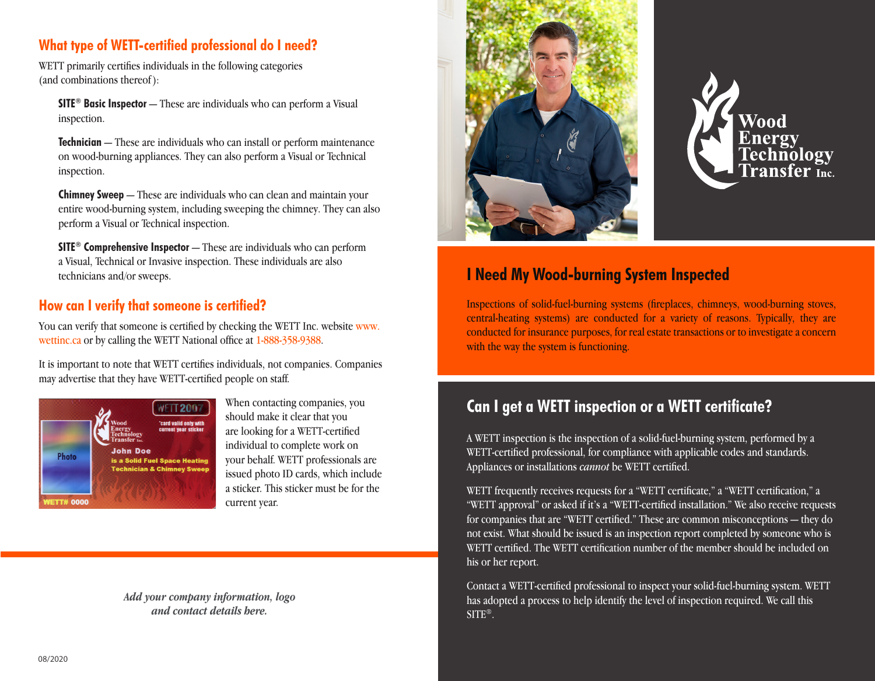## **What type of WETT-certified professional do I need?**

WETT primarily certifies individuals in the following categories (and combinations thereof ):

**SITE® Basic Inspector** — These are individuals who can perform a Visual inspection.

**Technician** — These are individuals who can install or perform maintenance on wood-burning appliances. They can also perform a Visual or Technical inspection.

**Chimney Sweep** — These are individuals who can clean and maintain your entire wood-burning system, including sweeping the chimney. They can also perform a Visual or Technical inspection.

**SITE® Comprehensive Inspector** — These are individuals who can perform a Visual, Technical or Invasive inspection. These individuals are also technicians and/or sweeps.

## **How can I verify that someone is certified?**

You can verify that someone is certified by checking the WETT Inc. website www. wettinc.ca or by calling the WETT National office at 1-888-358-9388.

It is important to note that WETT certifies individuals, not companies. Companies may advertise that they have WETT-certified people on staff.



When contacting companies, you should make it clear that you are looking for a WETT-certified individual to complete work on your behalf. WETT professionals are issued photo ID cards, which include a sticker. This sticker must be for the current year.

*Add your company information, logo and contact details here.*





## **I Need My Wood-burning System Inspected**

Inspections of solid-fuel-burning systems (fireplaces, chimneys, wood-burning stoves, central-heating systems) are conducted for a variety of reasons. Typically, they are conducted for insurance purposes, for real estate transactions or to investigate a concern with the way the system is functioning.

# **Can I get a WETT inspection or a WETT certificate?**

A WETT inspection is the inspection of a solid-fuel-burning system, performed by a WETT-certified professional, for compliance with applicable codes and standards. Appliances or installations *cannot* be WETT certified.

WETT frequently receives requests for a "WETT certificate," a "WETT certification," a "WETT approval" or asked if it's a "WETT-certified installation." We also receive requests for companies that are "WETT certified." These are common misconceptions — they do not exist. What should be issued is an inspection report completed by someone who is WETT certified. The WETT certification number of the member should be included on his or her report.

Contact a WETT-certified professional to inspect your solid-fuel-burning system. WETT has adopted a process to help identify the level of inspection required. We call this SITE®.